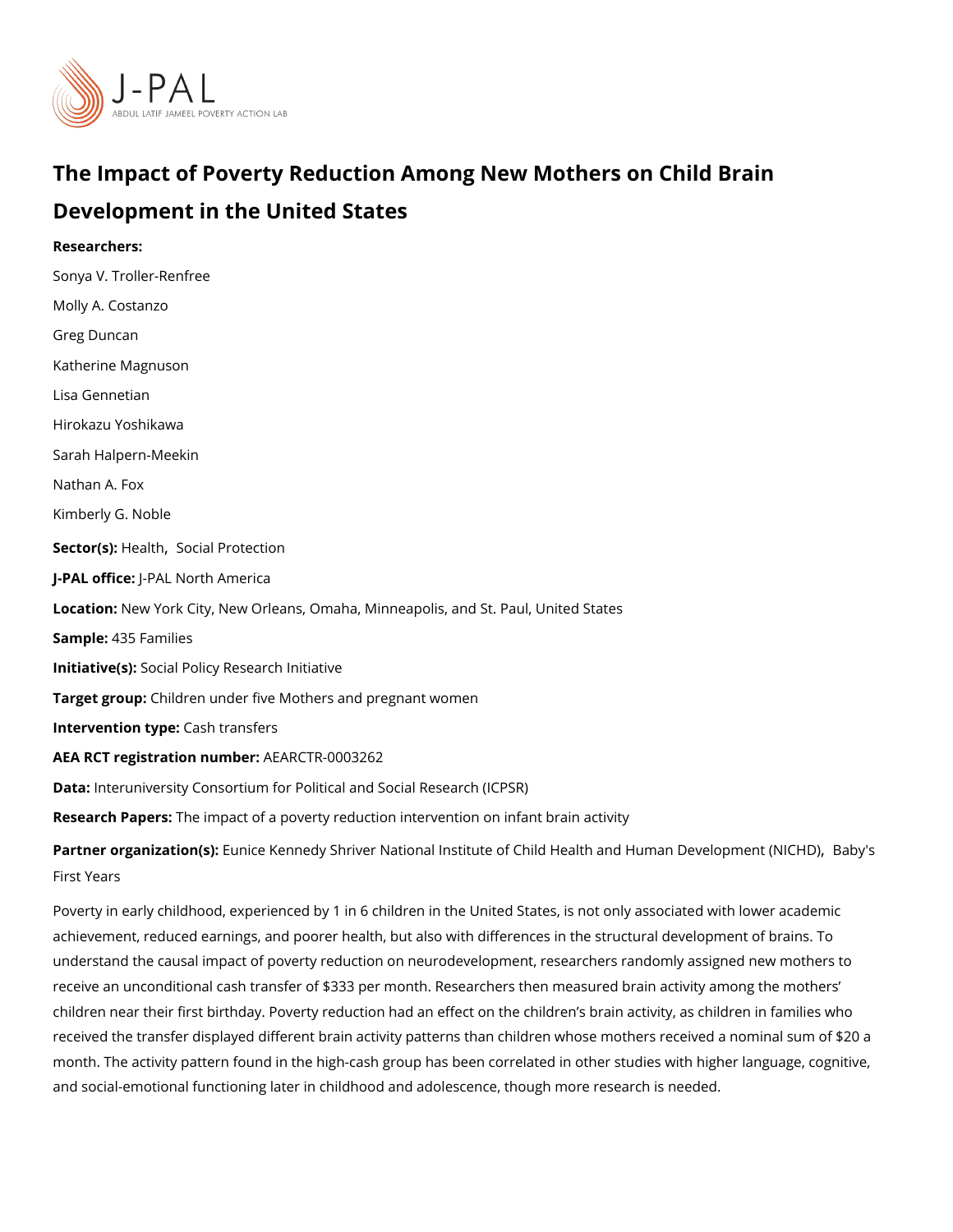# The Impact of Poverty Reduction Among New Mothers on Chi Development in the United States

Researchers: Sonya V. Troller-Renfree Molly A. Costanzo [Greg Dun](https://www.povertyactionlab.org/person/duncan)can Katherine Magnuson [Lisa Genn](https://www.povertyactionlab.org/person/gennetian)etian Hirokazu Yoshikawa Sarah Halpern-Meekin Nathan A. Fox Kimberly G. Noble Sector(**s**)  $\phi$  alth [Social Prot](https://www.povertyactionlab.org/sector/social-protection)ection J-PAL of Ui-CPEAL North America LocatioNew York City, New Orleans, Omaha, Minneapolis, and St. Paul, United States Sample4:35 Families Initiative\$social Policy Research Initiative Target gro@pildren under five Mothers and pregnant women Intervention  $t\mathcal{G}$  ash transfers AEA RCT registration ArEuAnRbGeTR-0003262 Data: nteruniversity Consortium for Political and Social Research (ICPSR) Research Papbesimpact of a poverty reduction intervention on infant brain activity Partner organizatEum(se: Kennedy Shriver National Institute of Child Health an[d Hum](https://www.povertyactionlab.org/partners/babys-first-years)an De [First Y](https://www.povertyactionlab.org/partners/babys-first-years)ears

Poverty in early childhood, experienced by 1 in 6 children in the United States, is not onl achievement, reduced earnings, and poorer health, but also with differences in the struct understand the causal impact of poverty reduction on neurodevelopment, researchers rand receive an unconditional cash transfer of \$333 per month. Researchers then measured bra children near their first birthday. Poverty reduction had an effect on the children s brain received the transfer displayed different brain activity patterns than children whose moth month. The activity pattern found in the high-cash group has been correlated in other stud and social-emotional functioning later in childhood and adolescence, though more researc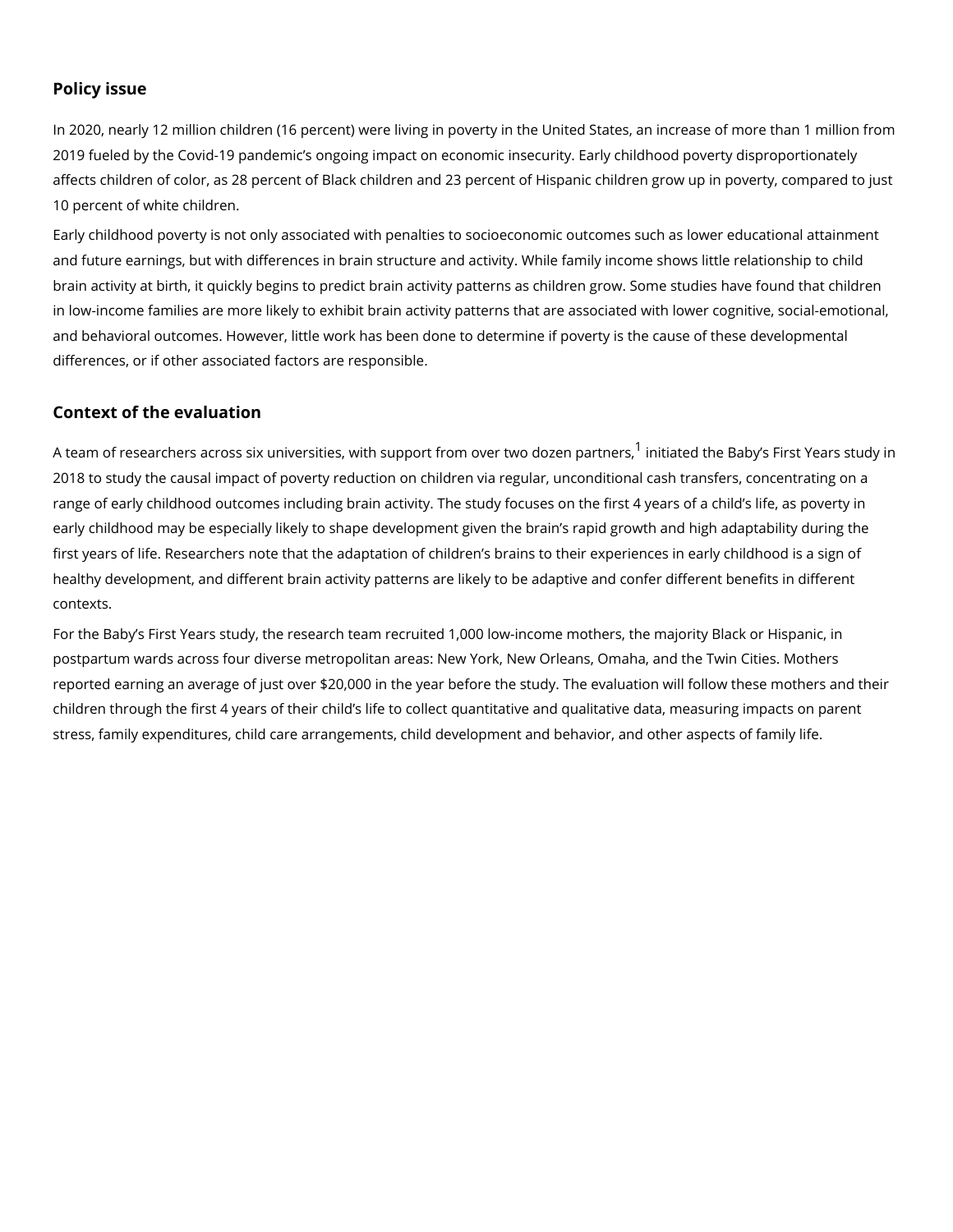### Policy issue

In 2020, nearly 12 million children (16 percent) were living in poverty in the United State 2019 fueled by the Covid-19 pandemic s ongoing impact on economic insecurity. Early chi affects children of color, as 28 percent of Black children and 23 percent of Hispanic child 10 percent of white children.

Early childhood poverty is not only associated with penalties to socioeconomic outcomes and future earnings, but with differences in brain structure and activity. While family inco brain activity at birth, it quickly begins to predict brain activity patterns as children grow in low-income families are more likely to exhibit brain activity patterns that are associate and behavioral outcomes. However, little work has been done to determine if poverty is th differences, or if other associated factors are responsible.

#### Context of the evaluation

A team of researchers across six universities, with support finniotmatoevoentheoveBadboy.esn FpiastnYees, [1](#page-3-0) 2018 to study the causal impact of poverty reduction on children via regular, unconditiona range of early childhood outcomes including brain activity. The study focuses on the first early childhood may be especially likely to shape development given the brain s rapid gro first years of life. Researchers note that the adaptation of children s brains to their expe healthy development, and different brain activity patterns are likely to be adaptive and co contexts.

For the Baby s First Years study, the research team recruited 1,000 low-income mothers, postpartum wards across four diverse metropolitan areas: New York, New Orleans, Omaha reported earning an average of just over \$20,000 in the year before the study. The evaluation will follow their children through the first 4 years of their child s life to collect quantitative and qualitativ stress, family expenditures, child care arrangements, child development and behavior, an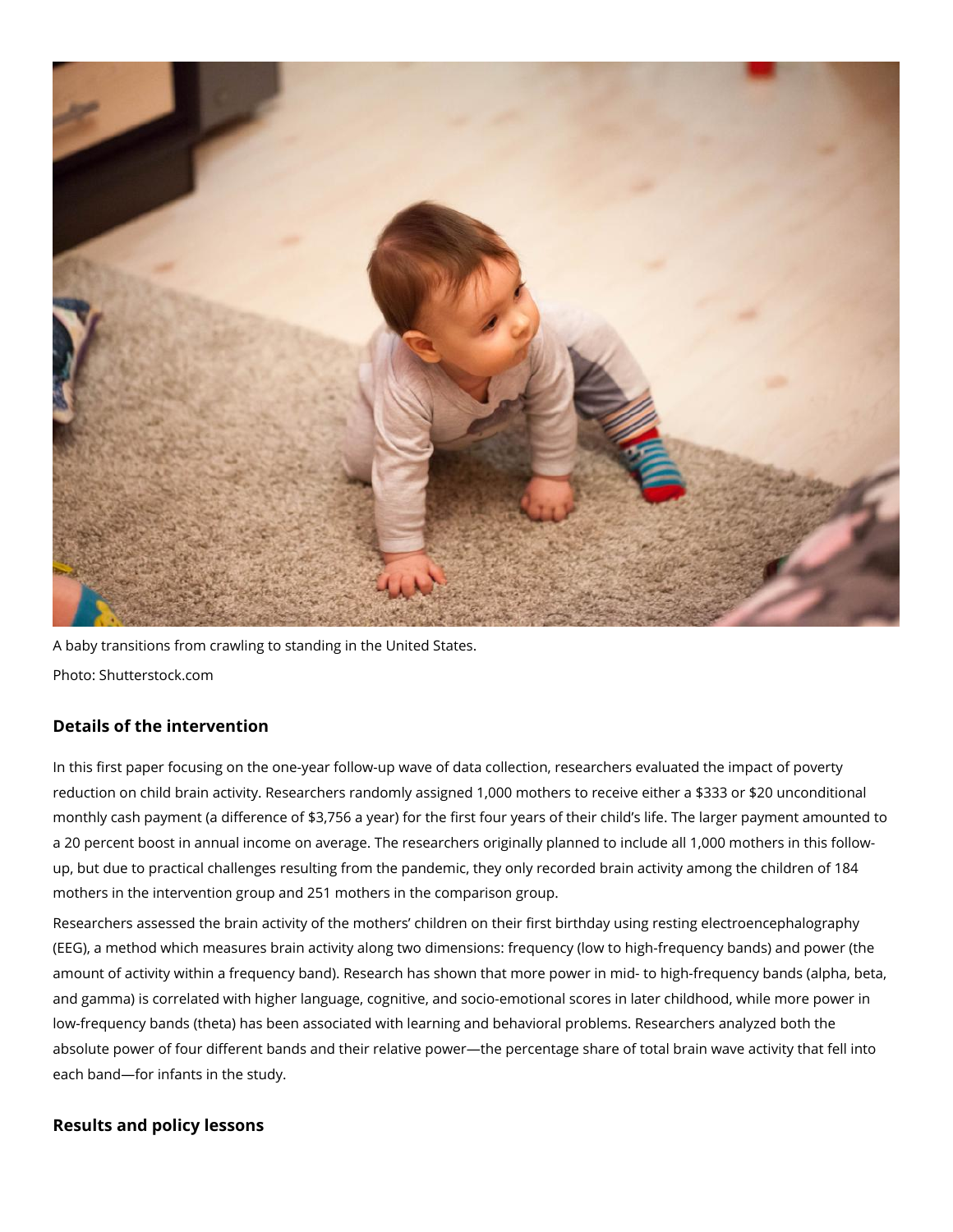

A baby transitions from crawling to standing in the United States. Photo: Shutterstock.com

## **Details of the intervention**

In this first paper focusing on the one-year follow-up wave of data collection, researchers evaluated the impact of poverty reduction on child brain activity. Researchers randomly assigned 1,000 mothers to receive either a \$333 or \$20 unconditional monthly cash payment (a difference of \$3,756 a year) for the first four years of their child's life. The larger payment amounted to a 20 percent boost in annual income on average. The researchers originally planned to include all 1,000 mothers in this followup, but due to practical challenges resulting from the pandemic, they only recorded brain activity among the children of 184 mothers in the intervention group and 251 mothers in the comparison group.

Researchers assessed the brain activity of the mothers' children on their first birthday using resting electroencephalography (EEG), a method which measures brain activity along two dimensions: frequency (low to high-frequency bands) and power (the amount of activity within a frequency band). Research has shown that more power in mid- to high-frequency bands (alpha, beta, and gamma) is correlated with higher language, cognitive, and socio-emotional scores in later childhood, while more power in low-frequency bands (theta) has been associated with learning and behavioral problems. Researchers analyzed both the absolute power of four different bands and their relative power—the percentage share of total brain wave activity that fell into each band—for infants in the study.

## **Results and policy lessons**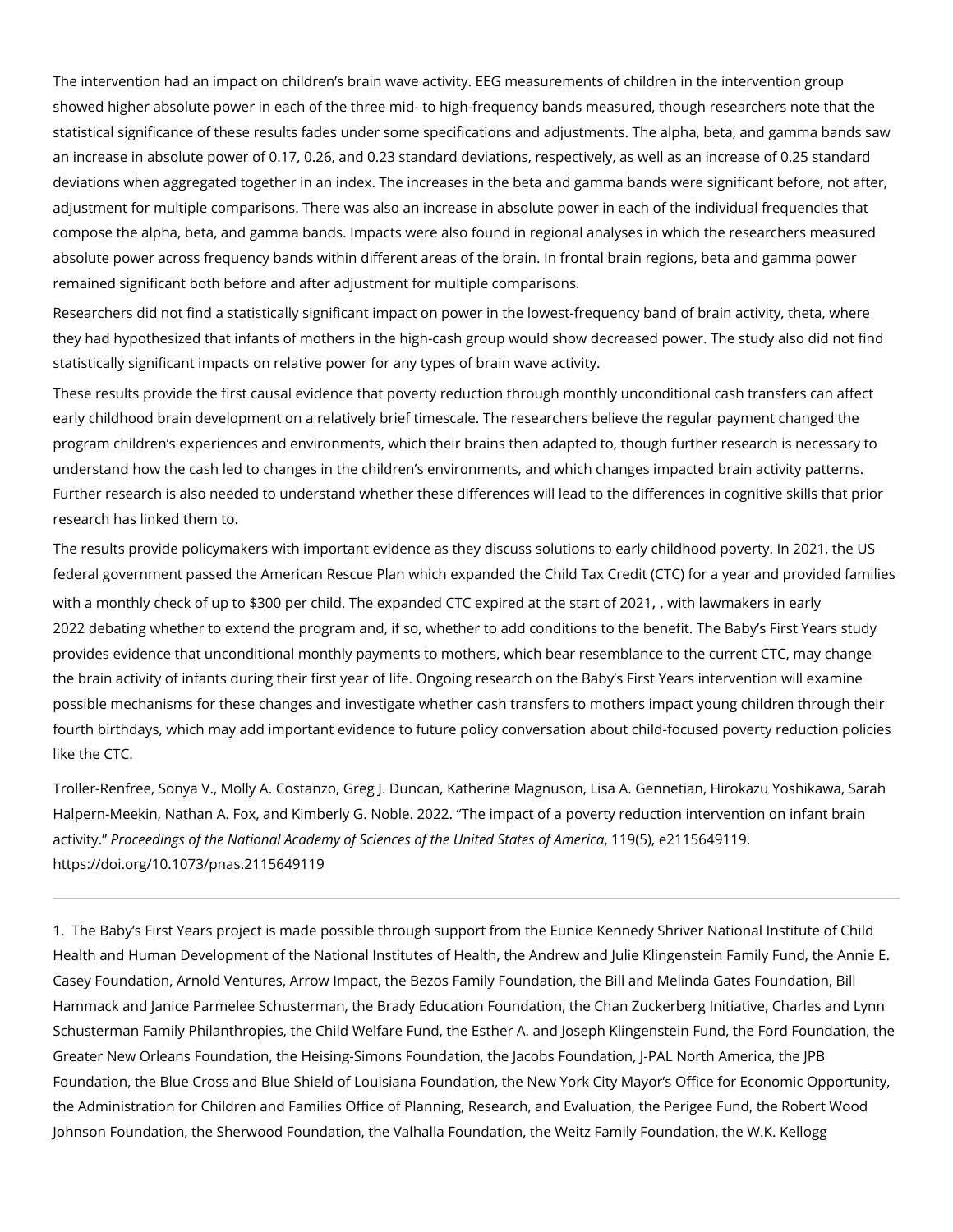<span id="page-3-0"></span>The intervention had an impact on children s brain wave activity. EEG measurements of cl showed higher absolute power in each of the three mid- to high-frequency bands measured statistical significance of these results fades under some specifications and adjustments. an increase in absolute power of 0.17, 0.26, and 0.23 standard deviations, respectively, and increase of 0.17, 0.26, and 0.23 standard deviations, respectively, deviations when aggregated together in an index. The increases in the beta and gamma bands were significant before, not after significant before, not after and state the significant bands of after significant before, not a adjustment for multiple comparisons. There was also an increase in absolute power in ead compose the alpha, beta, and gamma bands. Impacts were also found in regional analyses absolute power across frequency bands within different areas of the brain. In frontal brai remained significant both before and after adjustment for multiple comparisons.

Researchers did not find a statistically significant impact on power in the lowest-frequene they had hypothesized that infants of mothers in the high-cash group would show decreas statistically significant impacts on relative power for any types of brain wave activity.

These results provide the first causal evidence that poverty reduction through monthly un early childhood brain development on a relatively brief timescale. The researchers believ program children s experiences and environments, which their brains then adapted to, tho understand how the cash led to changes in the children s environments, and which change Further research is also needed to understand whether these differences will lead to the research has linked them to.

The results provide policymakers with important evidence as they discuss solutions to ear federal government passed the American Rescue Plan which expanded the Child Tax Credi with a monthly check of up to \$300 per chielod pired at particle at the W2mlakers in early [2022 debating whether to exte](https://www.nbcnews.com/politics/congress/democratic-lawmakers-not-giving-child-tax-credit-betting-manchin-s-n1288795)nad ntheif psoogrow mether to add conditions to the benefit. The B provides evidence that unconditional monthly payments to mothers, which bear resemblan the brain activity of infants during their first year of life. Ongoing research on the Baby s possible mechanisms for these changes and investigate whether cash transfers to mothers fourth birthdays, which may add important evidence to future policy conversation about ch like the CTC.

Troller-Renfree, Sonya V., Molly A. Costanzo, Greg J. Duncan, Katherine Magnuson, Lisa Halpern-Meekin, Nathan A. Fox, and Kimberly G. Noble. 2022. The impact of a poverty re activitPyroceedings of the National Academy of Sciences, of 1t9h(e5)Unei2e1d 556t4a9e1s190.f America [https://doi.org/10.1073/pna](https://doi.org/10.1073/pnas.2115649119)s.2115649119

1. The Baby s First Years project is made possible through support from the Eunice Kenne Health and Human Development of the National Institutes of Health, the Andrew and Julie Casey Foundation, Arnold Ventures, Arrow Impact, the Bezos Family Foundation, the Bill Hammack and Janice Parmelee Schusterman, the Brady Education Foundation, the Chan Zo Schusterman Family Philanthropies, the Child Welfare Fund, the Esther A. and Joseph Kli Greater New Orleans Foundation, the Heising-Simons Foundation, the Jacobs Foundation, Foundation, the Blue Cross and Blue Shield of Louisiana Foundation, the New York City M the Administration for Children and Families Office of Planning, Research, and Evaluatior Johnson Foundation, the Sherwood Foundation, the Valhalla Foundation, the Weitz Family